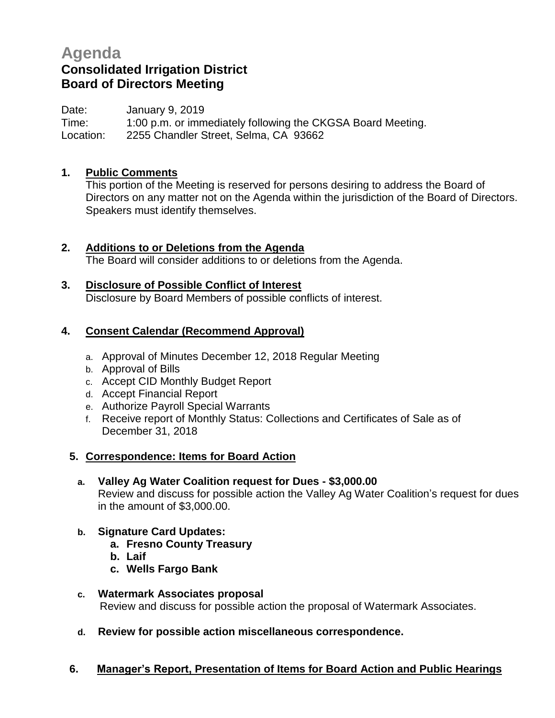# **Agenda Consolidated Irrigation District Board of Directors Meeting**

Date: January 9, 2019 Time: 1:00 p.m. or immediately following the CKGSA Board Meeting. Location: 2255 Chandler Street, Selma, CA 93662

## **1. Public Comments**

This portion of the Meeting is reserved for persons desiring to address the Board of Directors on any matter not on the Agenda within the jurisdiction of the Board of Directors. Speakers must identify themselves.

**2. Additions to or Deletions from the Agenda** The Board will consider additions to or deletions from the Agenda.

#### **3. Disclosure of Possible Conflict of Interest** Disclosure by Board Members of possible conflicts of interest.

## **4. Consent Calendar (Recommend Approval)**

- a. Approval of Minutes December 12, 2018 Regular Meeting
- b. Approval of Bills
- c. Accept CID Monthly Budget Report
- d. Accept Financial Report
- e. Authorize Payroll Special Warrants
- f. Receive report of Monthly Status: Collections and Certificates of Sale as of December 31, 2018

### **5. Correspondence: Items for Board Action**

## **a. Valley Ag Water Coalition request for Dues - \$3,000.00** Review and discuss for possible action the Valley Ag Water Coalition's request for dues in the amount of \$3,000.00.

### **b. Signature Card Updates:**

- **a. Fresno County Treasury**
- **b. Laif**
- **c. Wells Fargo Bank**
- **c. Watermark Associates proposal** Review and discuss for possible action the proposal of Watermark Associates.
- **d. Review for possible action miscellaneous correspondence.**

### **6. Manager's Report, Presentation of Items for Board Action and Public Hearings**